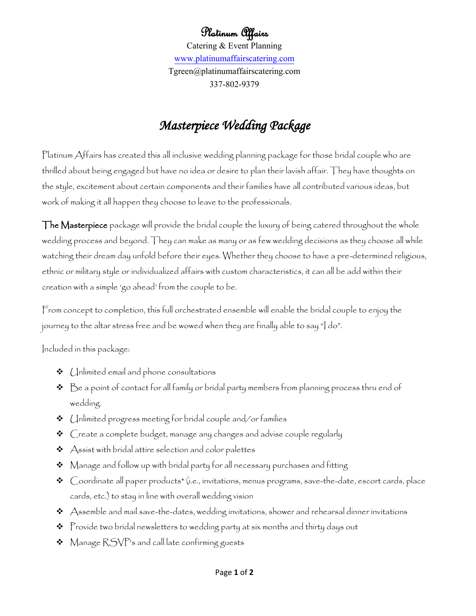Platinum Affairs Catering & Event Planning [www.platinumaffairscatering.com](http://www.platinumaffairscatering.com/) Tgreen@platinumaffairscatering.com 337-802-9379

## *Masterpiece Wedding Package*

Platinum Affairs has created this all inclusive wedding planning package for those bridal couple who are thrilled about being engaged but have no idea or desire to plan their lavish affair. They have thoughts on the style, excitement about certain components and their families have all contributed various ideas, but work of making it all happen they choose to leave to the professionals.

The Masterpiece package will provide the bridal couple the luxury of being catered throughout the whole wedding process and beyond. They can make as many or as few wedding decisions as they choose all while watching their dream day unfold before their eyes. Whether they choose to have a pre-determined religious, ethnic or military style or individualized affairs with custom characteristics, it can all be add within their creation with a simple 'go ahead' from the couple to be.

From concept to completion, this full orchestrated ensemble will enable the bridal couple to enjoy the journey to the altar stress free and be wowed when they are finally able to say "I do".

Included in this package:

- $\triangleleft$  (Inlimited email and phone consultations
- $\bm{\hat{P}}$   $\bm{\hat{B}}$  a point of contact for all family or bridal party members from planning process thru end of wedding.
- $\triangleleft$  (Inlimited progress meeting for bridal couple and/or families
- Create a complete budget, manage any changes and advise couple regularly
- $\triangleleft$  Assist with bridal attire selection and color palettes
- $\boldsymbol{\cdot}$  Manage and follow up with bridal party for all necessary purchases and fitting
- Coordinate all paper products\* (i.e., invitations, menus programs, save-the-date, escort cards, place cards, etc.) to stay in line with overall wedding vision
- $\boldsymbol{\cdot}$  Assemble and mail save-the-dates, wedding invitations, shower and rehearsal dinner invitations
- $\boldsymbol{\hat{v}}$  Provide two bridal newsletters to wedding party at six months and thirty days out
- $\bullet\;$  Manage  $\mathsf{RSVP}$ 's and call late confirming guests